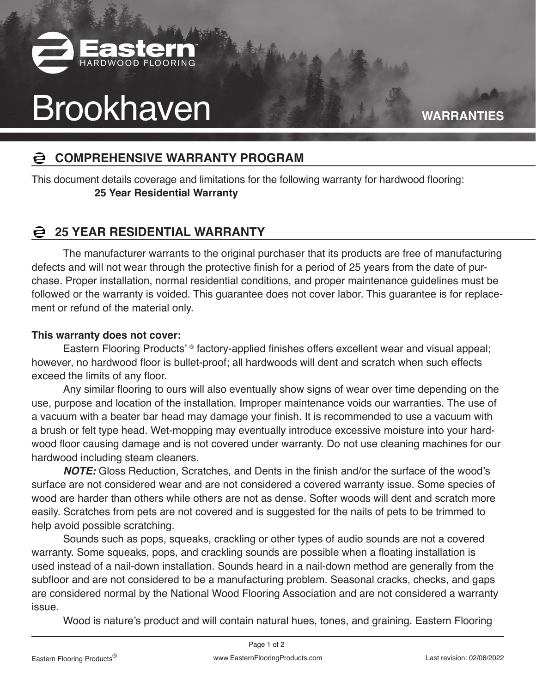

# Brookhaven **WARRANTIES**

### **COMPREHENSIVE WARRANTY PROGRAM**

This document details coverage and limitations for the following warranty for hardwood flooring:  **25 Year Residential Warranty**

## **25 YEAR RESIDENTIAL WARRANTY**

The manufacturer warrants to the original purchaser that its products are free of manufacturing defects and will not wear through the protective finish for a period of 25 years from the date of purchase. Proper installation, normal residential conditions, and proper maintenance guidelines must be followed or the warranty is voided. This guarantee does not cover labor. This guarantee is for replacement or refund of the material only.

### **This warranty does not cover:**

Eastern Flooring Products' ® factory-applied finishes offers excellent wear and visual appeal; however, no hardwood floor is bullet-proof; all hardwoods will dent and scratch when such effects exceed the limits of any floor.

Any similar flooring to ours will also eventually show signs of wear over time depending on the use, purpose and location of the installation. Improper maintenance voids our warranties. The use of a vacuum with a beater bar head may damage your finish. It is recommended to use a vacuum with a brush or felt type head. Wet-mopping may eventually introduce excessive moisture into your hardwood floor causing damage and is not covered under warranty. Do not use cleaning machines for our hardwood including steam cleaners.

**NOTE:** Gloss Reduction, Scratches, and Dents in the finish and/or the surface of the wood's surface are not considered wear and are not considered a covered warranty issue. Some species of wood are harder than others while others are not as dense. Softer woods will dent and scratch more easily. Scratches from pets are not covered and is suggested for the nails of pets to be trimmed to help avoid possible scratching.

Sounds such as pops, squeaks, crackling or other types of audio sounds are not a covered warranty. Some squeaks, pops, and crackling sounds are possible when a floating installation is used instead of a nail-down installation. Sounds heard in a nail-down method are generally from the subfloor and are not considered to be a manufacturing problem. Seasonal cracks, checks, and gaps are considered normal by the National Wood Flooring Association and are not considered a warranty issue.

Wood is nature's product and will contain natural hues, tones, and graining. Eastern Flooring